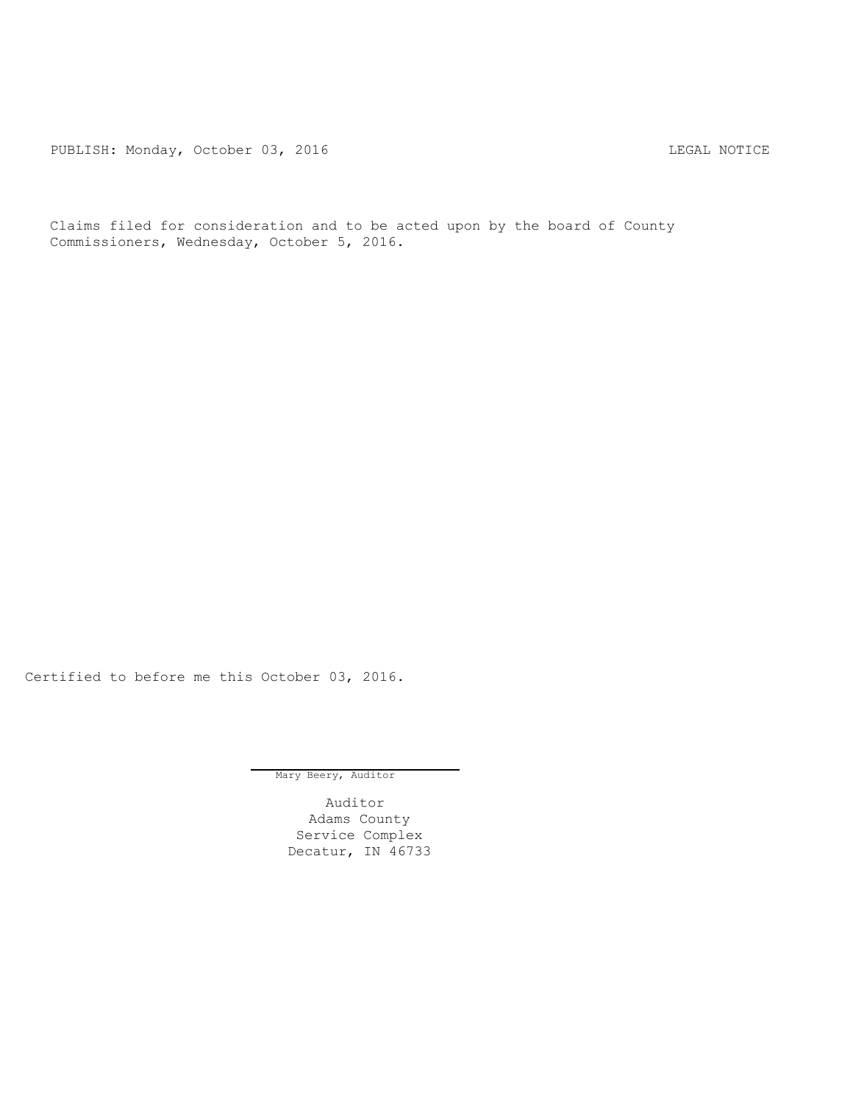PUBLISH: Monday, October 03, 2016 CHA CHANGE CONTROLLING MOTICE

Claims filed for consideration and to be acted upon by the board of County Commissioners, Wednesday, October 5, 2016.

Certified to before me this October 03, 2016.

Mary Beery, Auditor

Auditor Adams County Service Complex Decatur, IN 46733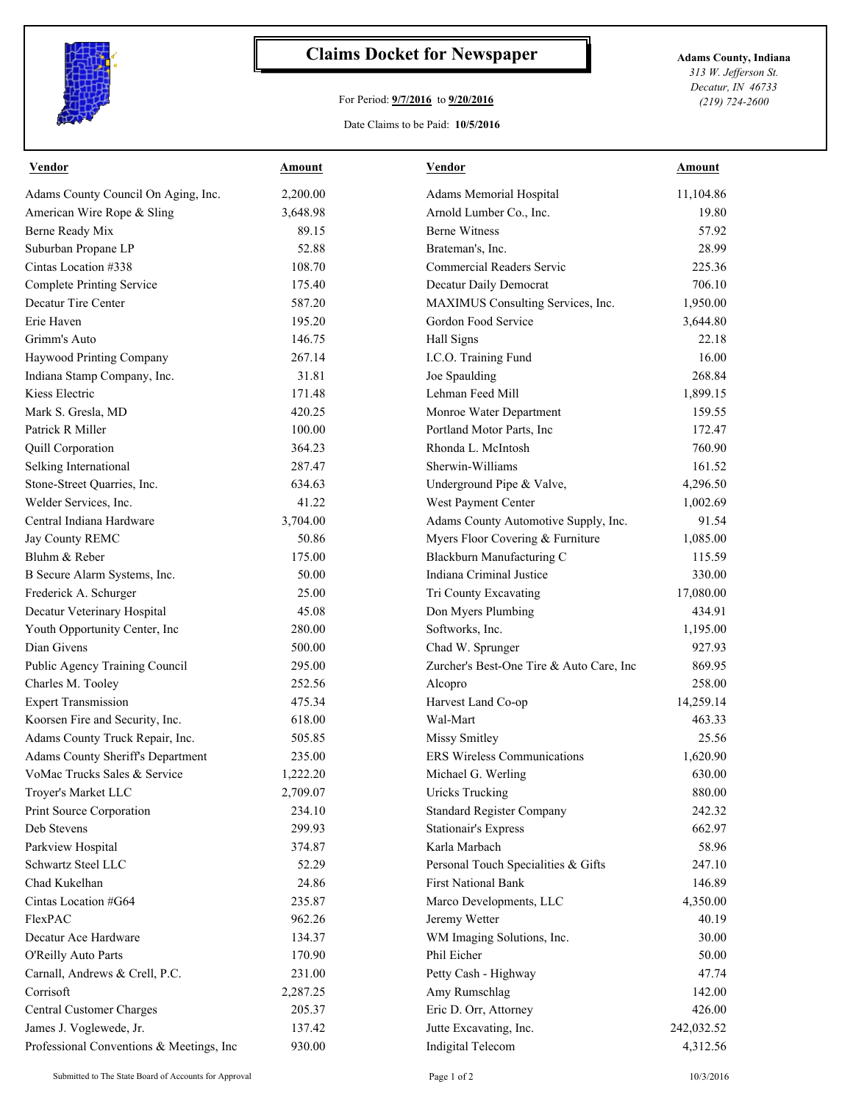

## **Claims Docket for Newspaper Adams County, Indiana**

## For Period: **9/7/2016** to **9/20/2016**

*313 W. Jefferson St. Decatur, IN 46733 (219) 724-2600*

Date Claims to be Paid: **10/5/2016**

| Vendor                                   | Amount   | Vendor                                   | Amount     |
|------------------------------------------|----------|------------------------------------------|------------|
| Adams County Council On Aging, Inc.      | 2,200.00 | Adams Memorial Hospital                  | 11,104.86  |
| American Wire Rope & Sling               | 3,648.98 | Arnold Lumber Co., Inc.                  | 19.80      |
| Berne Ready Mix                          | 89.15    | <b>Berne Witness</b>                     | 57.92      |
| Suburban Propane LP                      | 52.88    | Brateman's, Inc.                         | 28.99      |
| Cintas Location #338                     | 108.70   | Commercial Readers Servic                | 225.36     |
| <b>Complete Printing Service</b>         | 175.40   | Decatur Daily Democrat                   | 706.10     |
| Decatur Tire Center                      | 587.20   | MAXIMUS Consulting Services, Inc.        | 1,950.00   |
| Erie Haven                               | 195.20   | Gordon Food Service                      | 3,644.80   |
| Grimm's Auto                             | 146.75   | Hall Signs                               | 22.18      |
| Haywood Printing Company                 | 267.14   | I.C.O. Training Fund                     | 16.00      |
| Indiana Stamp Company, Inc.              | 31.81    | Joe Spaulding                            | 268.84     |
| Kiess Electric                           | 171.48   | Lehman Feed Mill                         | 1,899.15   |
| Mark S. Gresla, MD                       | 420.25   | Monroe Water Department                  | 159.55     |
| Patrick R Miller                         | 100.00   | Portland Motor Parts, Inc                | 172.47     |
| Quill Corporation                        | 364.23   | Rhonda L. McIntosh                       | 760.90     |
| Selking International                    | 287.47   | Sherwin-Williams                         | 161.52     |
| Stone-Street Quarries, Inc.              | 634.63   | Underground Pipe & Valve,                | 4,296.50   |
| Welder Services, Inc.                    | 41.22    | West Payment Center                      | 1,002.69   |
| Central Indiana Hardware                 | 3,704.00 | Adams County Automotive Supply, Inc.     | 91.54      |
| Jay County REMC                          | 50.86    | Myers Floor Covering & Furniture         | 1,085.00   |
| Bluhm & Reber                            | 175.00   | Blackburn Manufacturing C                | 115.59     |
| B Secure Alarm Systems, Inc.             | 50.00    | Indiana Criminal Justice                 | 330.00     |
| Frederick A. Schurger                    | 25.00    | Tri County Excavating                    | 17,080.00  |
| Decatur Veterinary Hospital              | 45.08    | Don Myers Plumbing                       | 434.91     |
| Youth Opportunity Center, Inc            | 280.00   | Softworks, Inc.                          | 1,195.00   |
| Dian Givens                              | 500.00   | Chad W. Sprunger                         | 927.93     |
| Public Agency Training Council           | 295.00   | Zurcher's Best-One Tire & Auto Care, Inc | 869.95     |
| Charles M. Tooley                        | 252.56   | Alcopro                                  | 258.00     |
| <b>Expert Transmission</b>               | 475.34   | Harvest Land Co-op                       | 14,259.14  |
| Koorsen Fire and Security, Inc.          | 618.00   | Wal-Mart                                 | 463.33     |
| Adams County Truck Repair, Inc.          | 505.85   | Missy Smitley                            | 25.56      |
| Adams County Sheriff's Department        | 235.00   | <b>ERS</b> Wireless Communications       | 1,620.90   |
| VoMac Trucks Sales & Service             | 1,222.20 | Michael G. Werling                       | 630.00     |
| Troyer's Market LLC                      | 2,709.07 | <b>Uricks Trucking</b>                   | 880.00     |
| Print Source Corporation                 | 234.10   | <b>Standard Register Company</b>         | 242.32     |
| Deb Stevens                              | 299.93   | <b>Stationair's Express</b>              | 662.97     |
| Parkview Hospital                        | 374.87   | Karla Marbach                            | 58.96      |
| Schwartz Steel LLC                       | 52.29    | Personal Touch Specialities & Gifts      | 247.10     |
| Chad Kukelhan                            | 24.86    | <b>First National Bank</b>               | 146.89     |
| Cintas Location #G64                     | 235.87   | Marco Developments, LLC                  | 4,350.00   |
| FlexPAC                                  | 962.26   | Jeremy Wetter                            | 40.19      |
| Decatur Ace Hardware                     | 134.37   | WM Imaging Solutions, Inc.               | 30.00      |
| O'Reilly Auto Parts                      | 170.90   | Phil Eicher                              | 50.00      |
| Carnall, Andrews & Crell, P.C.           | 231.00   | Petty Cash - Highway                     | 47.74      |
| Corrisoft                                | 2,287.25 | Amy Rumschlag                            | 142.00     |
| Central Customer Charges                 | 205.37   | Eric D. Orr, Attorney                    | 426.00     |
| James J. Voglewede, Jr.                  | 137.42   | Jutte Excavating, Inc.                   | 242,032.52 |
| Professional Conventions & Meetings, Inc | 930.00   | Indigital Telecom                        | 4,312.56   |